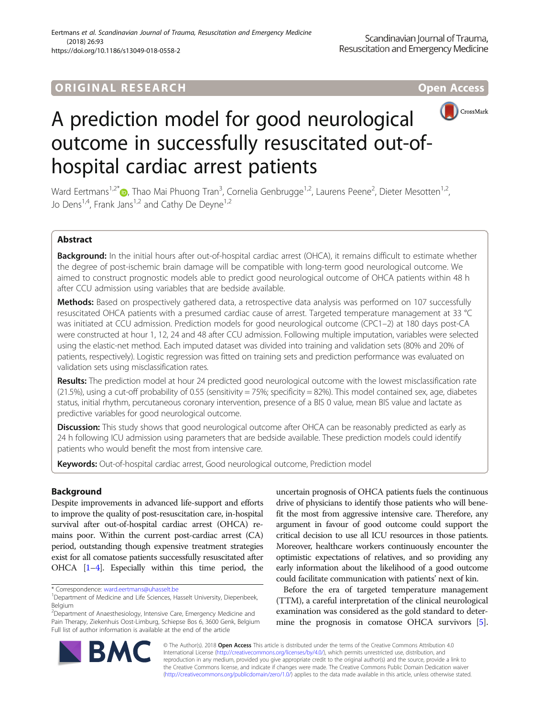# ORIGINAL RESEARCH **CONTRACT CONTRACT CONTRACT CONTRACT CONTRACT CONTRACT CONTRACT CONTRACT CONTRACT CONTRACT CONTRACT CONTRACT CONTRACT CONTRACT CONTRACT CONTRACT CONTRACT CONTRACT CONTRACT CONTRACT CONTRACT CONTRACT CONTR**





# A prediction model for good neurological outcome in successfully resuscitated out-ofhospital cardiac arrest patients

Ward Eertmans<sup>1[,](http://orcid.org/0000-0002-0052-7684)2\*</sup>®, Thao Mai Phuong Tran<sup>3</sup>, Cornelia Genbrugge<sup>1,2</sup>, Laurens Peene<sup>2</sup>, Dieter Mesotten<sup>1,2</sup>, Jo Dens<sup>1,4</sup>, Frank Jans<sup>1,2</sup> and Cathy De Deyne<sup>1,2</sup>

# Abstract

Background: In the initial hours after out-of-hospital cardiac arrest (OHCA), it remains difficult to estimate whether the degree of post-ischemic brain damage will be compatible with long-term good neurological outcome. We aimed to construct prognostic models able to predict good neurological outcome of OHCA patients within 48 h after CCU admission using variables that are bedside available.

Methods: Based on prospectively gathered data, a retrospective data analysis was performed on 107 successfully resuscitated OHCA patients with a presumed cardiac cause of arrest. Targeted temperature management at 33 °C was initiated at CCU admission. Prediction models for good neurological outcome (CPC1–2) at 180 days post-CA were constructed at hour 1, 12, 24 and 48 after CCU admission. Following multiple imputation, variables were selected using the elastic-net method. Each imputed dataset was divided into training and validation sets (80% and 20% of patients, respectively). Logistic regression was fitted on training sets and prediction performance was evaluated on validation sets using misclassification rates.

Results: The prediction model at hour 24 predicted good neurological outcome with the lowest misclassification rate  $(21.5%)$ , using a cut-off probability of 0.55 (sensitivity = 75%; specificity = 82%). This model contained sex, age, diabetes status, initial rhythm, percutaneous coronary intervention, presence of a BIS 0 value, mean BIS value and lactate as predictive variables for good neurological outcome.

**Discussion:** This study shows that good neurological outcome after OHCA can be reasonably predicted as early as 24 h following ICU admission using parameters that are bedside available. These prediction models could identify patients who would benefit the most from intensive care.

Keywords: Out-of-hospital cardiac arrest, Good neurological outcome, Prediction model

# Background

Despite improvements in advanced life-support and efforts to improve the quality of post-resuscitation care, in-hospital survival after out-of-hospital cardiac arrest (OHCA) remains poor. Within the current post-cardiac arrest (CA) period, outstanding though expensive treatment strategies exist for all comatose patients successfully resuscitated after OHCA [\[1](#page-7-0)–[4](#page-7-0)]. Especially within this time period, the

uncertain prognosis of OHCA patients fuels the continuous drive of physicians to identify those patients who will benefit the most from aggressive intensive care. Therefore, any argument in favour of good outcome could support the critical decision to use all ICU resources in those patients. Moreover, healthcare workers continuously encounter the optimistic expectations of relatives, and so providing any early information about the likelihood of a good outcome could facilitate communication with patients' next of kin.

Before the era of targeted temperature management (TTM), a careful interpretation of the clinical neurological examination was considered as the gold standard to determine the prognosis in comatose OHCA survivors [[5](#page-7-0)].



© The Author(s). 2018 Open Access This article is distributed under the terms of the Creative Commons Attribution 4.0 International License [\(http://creativecommons.org/licenses/by/4.0/](http://creativecommons.org/licenses/by/4.0/)), which permits unrestricted use, distribution, and reproduction in any medium, provided you give appropriate credit to the original author(s) and the source, provide a link to the Creative Commons license, and indicate if changes were made. The Creative Commons Public Domain Dedication waiver [\(http://creativecommons.org/publicdomain/zero/1.0/](http://creativecommons.org/publicdomain/zero/1.0/)) applies to the data made available in this article, unless otherwise stated.

<sup>\*</sup> Correspondence: [ward.eertmans@uhasselt.be](mailto:ward.eertmans@uhasselt.be) <sup>1</sup>

<sup>&</sup>lt;sup>1</sup>Department of Medicine and Life Sciences, Hasselt University, Diepenbeek, Belgium

<sup>&</sup>lt;sup>2</sup>Department of Anaesthesiology, Intensive Care, Emergency Medicine and Pain Therapy, Ziekenhuis Oost-Limburg, Schiepse Bos 6, 3600 Genk, Belgium Full list of author information is available at the end of the article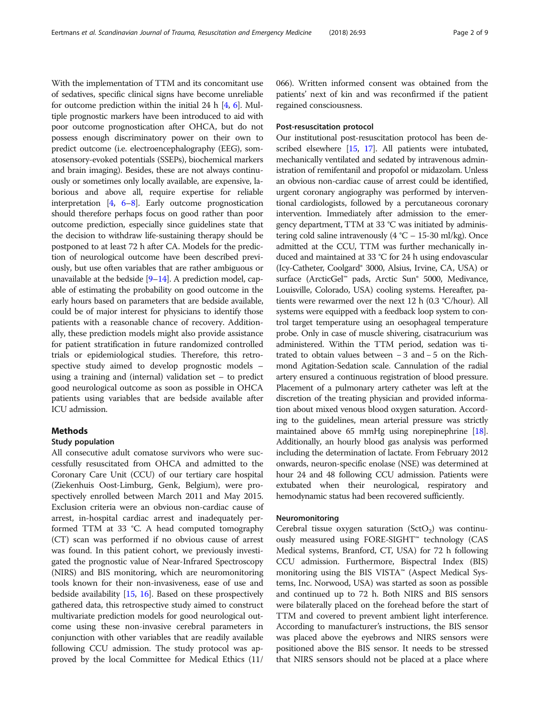With the implementation of TTM and its concomitant use of sedatives, specific clinical signs have become unreliable for outcome prediction within the initial 24 h  $[4, 6]$  $[4, 6]$  $[4, 6]$  $[4, 6]$ . Multiple prognostic markers have been introduced to aid with poor outcome prognostication after OHCA, but do not possess enough discriminatory power on their own to predict outcome (i.e. electroencephalography (EEG), somatosensory-evoked potentials (SSEPs), biochemical markers and brain imaging). Besides, these are not always continuously or sometimes only locally available, are expensive, laborious and above all, require expertise for reliable interpretation [[4](#page-7-0), [6](#page-7-0)–[8](#page-7-0)]. Early outcome prognostication should therefore perhaps focus on good rather than poor outcome prediction, especially since guidelines state that the decision to withdraw life-sustaining therapy should be postponed to at least 72 h after CA. Models for the prediction of neurological outcome have been described previously, but use often variables that are rather ambiguous or unavailable at the bedside  $[9-14]$  $[9-14]$  $[9-14]$  $[9-14]$ . A prediction model, capable of estimating the probability on good outcome in the early hours based on parameters that are bedside available, could be of major interest for physicians to identify those patients with a reasonable chance of recovery. Additionally, these prediction models might also provide assistance for patient stratification in future randomized controlled trials or epidemiological studies. Therefore, this retrospective study aimed to develop prognostic models – using a training and (internal) validation set – to predict good neurological outcome as soon as possible in OHCA patients using variables that are bedside available after ICU admission.

# Methods

# Study population

All consecutive adult comatose survivors who were successfully resuscitated from OHCA and admitted to the Coronary Care Unit (CCU) of our tertiary care hospital (Ziekenhuis Oost-Limburg, Genk, Belgium), were prospectively enrolled between March 2011 and May 2015. Exclusion criteria were an obvious non-cardiac cause of arrest, in-hospital cardiac arrest and inadequately performed TTM at 33 °C. A head computed tomography (CT) scan was performed if no obvious cause of arrest was found. In this patient cohort, we previously investigated the prognostic value of Near-Infrared Spectroscopy (NIRS) and BIS monitoring, which are neuromonitoring tools known for their non-invasiveness, ease of use and bedside availability [\[15,](#page-8-0) [16](#page-8-0)]. Based on these prospectively gathered data, this retrospective study aimed to construct multivariate prediction models for good neurological outcome using these non-invasive cerebral parameters in conjunction with other variables that are readily available following CCU admission. The study protocol was approved by the local Committee for Medical Ethics (11/ 066). Written informed consent was obtained from the patients' next of kin and was reconfirmed if the patient regained consciousness.

# Post-resuscitation protocol

Our institutional post-resuscitation protocol has been described elsewhere [\[15](#page-8-0), [17](#page-8-0)]. All patients were intubated, mechanically ventilated and sedated by intravenous administration of remifentanil and propofol or midazolam. Unless an obvious non-cardiac cause of arrest could be identified, urgent coronary angiography was performed by interventional cardiologists, followed by a percutaneous coronary intervention. Immediately after admission to the emergency department, TTM at 33 °C was initiated by administering cold saline intravenously  $(4 °C - 15-30$  ml/kg). Once admitted at the CCU, TTM was further mechanically induced and maintained at 33 °C for 24 h using endovascular (Icy-Catheter, Coolgard® 3000, Alsius, Irvine, CA, USA) or surface (ArcticGel™ pads, Arctic Sun® 5000, Medivance, Louisville, Colorado, USA) cooling systems. Hereafter, patients were rewarmed over the next 12 h (0.3 °C/hour). All systems were equipped with a feedback loop system to control target temperature using an oesophageal temperature probe. Only in case of muscle shivering, cisatracurium was administered. Within the TTM period, sedation was titrated to obtain values between − 3 and − 5 on the Richmond Agitation-Sedation scale. Cannulation of the radial artery ensured a continuous registration of blood pressure. Placement of a pulmonary artery catheter was left at the discretion of the treating physician and provided information about mixed venous blood oxygen saturation. According to the guidelines, mean arterial pressure was strictly maintained above 65 mmHg using norepinephrine [\[18](#page-8-0)]. Additionally, an hourly blood gas analysis was performed including the determination of lactate. From February 2012 onwards, neuron-specific enolase (NSE) was determined at hour 24 and 48 following CCU admission. Patients were extubated when their neurological, respiratory and hemodynamic status had been recovered sufficiently.

# Neuromonitoring

Cerebral tissue oxygen saturation  $(SctO<sub>2</sub>)$  was continuously measured using FORE-SIGHT™ technology (CAS Medical systems, Branford, CT, USA) for 72 h following CCU admission. Furthermore, Bispectral Index (BIS) monitoring using the BIS VISTA™ (Aspect Medical Systems, Inc. Norwood, USA) was started as soon as possible and continued up to 72 h. Both NIRS and BIS sensors were bilaterally placed on the forehead before the start of TTM and covered to prevent ambient light interference. According to manufacturer's instructions, the BIS sensor was placed above the eyebrows and NIRS sensors were positioned above the BIS sensor. It needs to be stressed that NIRS sensors should not be placed at a place where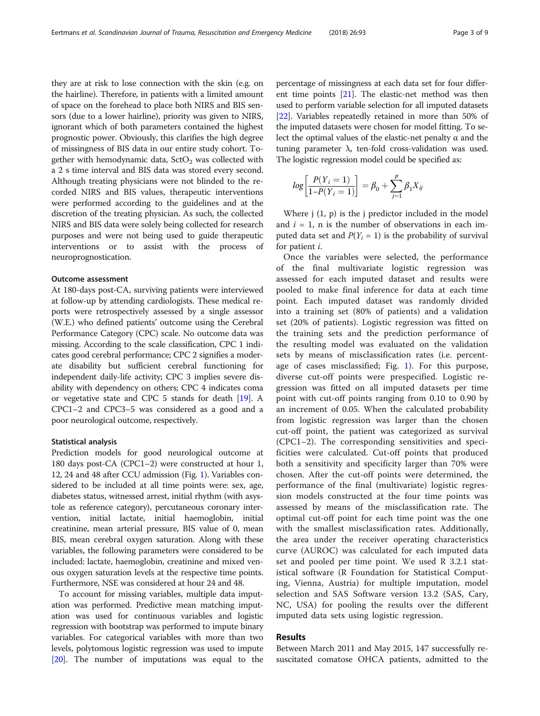they are at risk to lose connection with the skin (e.g. on the hairline). Therefore, in patients with a limited amount of space on the forehead to place both NIRS and BIS sensors (due to a lower hairline), priority was given to NIRS, ignorant which of both parameters contained the highest prognostic power. Obviously, this clarifies the high degree of missingness of BIS data in our entire study cohort. Together with hemodynamic data,  $SctO<sub>2</sub>$  was collected with a 2 s time interval and BIS data was stored every second. Although treating physicians were not blinded to the recorded NIRS and BIS values, therapeutic interventions were performed according to the guidelines and at the discretion of the treating physician. As such, the collected NIRS and BIS data were solely being collected for research purposes and were not being used to guide therapeutic interventions or to assist with the process of neuroprognostication.

## Outcome assessment

At 180-days post-CA, surviving patients were interviewed at follow-up by attending cardiologists. These medical reports were retrospectively assessed by a single assessor (W.E.) who defined patients' outcome using the Cerebral Performance Category (CPC) scale. No outcome data was missing. According to the scale classification, CPC 1 indicates good cerebral performance; CPC 2 signifies a moderate disability but sufficient cerebral functioning for independent daily-life activity; CPC 3 implies severe disability with dependency on others; CPC 4 indicates coma or vegetative state and CPC 5 stands for death [\[19\]](#page-8-0). A CPC1–2 and CPC3–5 was considered as a good and a poor neurological outcome, respectively.

### Statistical analysis

Prediction models for good neurological outcome at 180 days post-CA (CPC1–2) were constructed at hour 1, 12, 24 and 48 after CCU admission (Fig. [1](#page-3-0)). Variables considered to be included at all time points were: sex, age, diabetes status, witnessed arrest, initial rhythm (with asystole as reference category), percutaneous coronary intervention, initial lactate, initial haemoglobin, initial creatinine, mean arterial pressure, BIS value of 0, mean BIS, mean cerebral oxygen saturation. Along with these variables, the following parameters were considered to be included: lactate, haemoglobin, creatinine and mixed venous oxygen saturation levels at the respective time points. Furthermore, NSE was considered at hour 24 and 48.

To account for missing variables, multiple data imputation was performed. Predictive mean matching imputation was used for continuous variables and logistic regression with bootstrap was performed to impute binary variables. For categorical variables with more than two levels, polytomous logistic regression was used to impute [[20](#page-8-0)]. The number of imputations was equal to the percentage of missingness at each data set for four different time points [\[21\]](#page-8-0). The elastic-net method was then used to perform variable selection for all imputed datasets [[22](#page-8-0)]. Variables repeatedly retained in more than 50% of the imputed datasets were chosen for model fitting. To select the optimal values of the elastic-net penalty  $\alpha$  and the tuning parameter λ, ten-fold cross-validation was used. The logistic regression model could be specified as:

$$
log\left[\frac{P(Y_i = 1)}{1 - P(Y_i = 1)}\right] = \beta_0 + \sum_{j=1}^p \beta_1 X_{ij}
$$

Where  $j(1, p)$  is the j predictor included in the model and  $i = 1$ , n is the number of observations in each imputed data set and  $P(Y_i = 1)$  is the probability of survival for patient i.

Once the variables were selected, the performance of the final multivariate logistic regression was assessed for each imputed dataset and results were pooled to make final inference for data at each time point. Each imputed dataset was randomly divided into a training set (80% of patients) and a validation set (20% of patients). Logistic regression was fitted on the training sets and the prediction performance of the resulting model was evaluated on the validation sets by means of misclassification rates (i.e. percentage of cases misclassified; Fig. [1](#page-3-0)). For this purpose, diverse cut-off points were prespecified. Logistic regression was fitted on all imputed datasets per time point with cut-off points ranging from 0.10 to 0.90 by an increment of 0.05. When the calculated probability from logistic regression was larger than the chosen cut-off point, the patient was categorized as survival (CPC1–2). The corresponding sensitivities and specificities were calculated. Cut-off points that produced both a sensitivity and specificity larger than 70% were chosen. After the cut-off points were determined, the performance of the final (multivariate) logistic regression models constructed at the four time points was assessed by means of the misclassification rate. The optimal cut-off point for each time point was the one with the smallest misclassification rates. Additionally, the area under the receiver operating characteristics curve (AUROC) was calculated for each imputed data set and pooled per time point. We used R 3.2.1 statistical software (R Foundation for Statistical Computing, Vienna, Austria) for multiple imputation, model selection and SAS Software version 13.2 (SAS, Cary, NC, USA) for pooling the results over the different imputed data sets using logistic regression.

# Results

Between March 2011 and May 2015, 147 successfully resuscitated comatose OHCA patients, admitted to the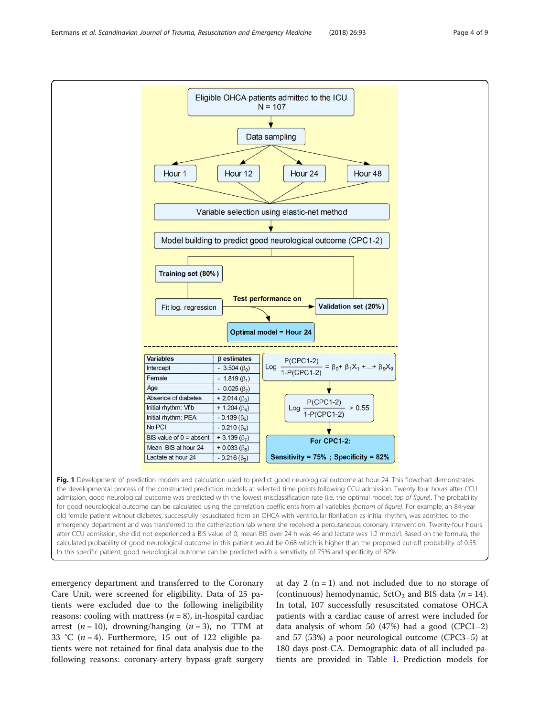<span id="page-3-0"></span>

the developmental process of the constructed prediction models at selected time points following CCU admission. Twenty-four hours after CCU admission, good neurological outcome was predicted with the lowest misclassification rate (i.e. the optimal model; top of figure). The probability for good neurological outcome can be calculated using the correlation coefficients from all variables (bottom of figure). For example, an 84-year old female patient without diabetes, successfully resuscitated from an OHCA with ventricular fibrillation as initial rhythm, was admitted to the emergency department and was transferred to the catherization lab where she received a percutaneous coronary intervention. Twenty-four hours after CCU admission, she did not experienced a BIS value of 0, mean BIS over 24 h was 46 and lactate was 1.2 mmol/l. Based on the formula, the calculated probability of good neurological outcome in this patient would be 0.68 which is higher than the proposed cut-off probability of 0.55. In this specific patient, good neurological outcome can be predicted with a sensitivity of 75% and specificity of 82%

emergency department and transferred to the Coronary Care Unit, were screened for eligibility. Data of 25 patients were excluded due to the following ineligibility reasons: cooling with mattress  $(n = 8)$ , in-hospital cardiac arrest ( $n = 10$ ), drowning/hanging ( $n = 3$ ), no TTM at 33 °C ( $n = 4$ ). Furthermore, 15 out of 122 eligible patients were not retained for final data analysis due to the following reasons: coronary-artery bypass graft surgery at day 2 ( $n = 1$ ) and not included due to no storage of (continuous) hemodynamic,  $\text{StO}_2$  and BIS data (*n* = 14). In total, 107 successfully resuscitated comatose OHCA patients with a cardiac cause of arrest were included for data analysis of whom 50  $(47%)$  had a good  $(CPC1-2)$ and 57 (53%) a poor neurological outcome (CPC3–5) at 180 days post-CA. Demographic data of all included patients are provided in Table [1](#page-4-0). Prediction models for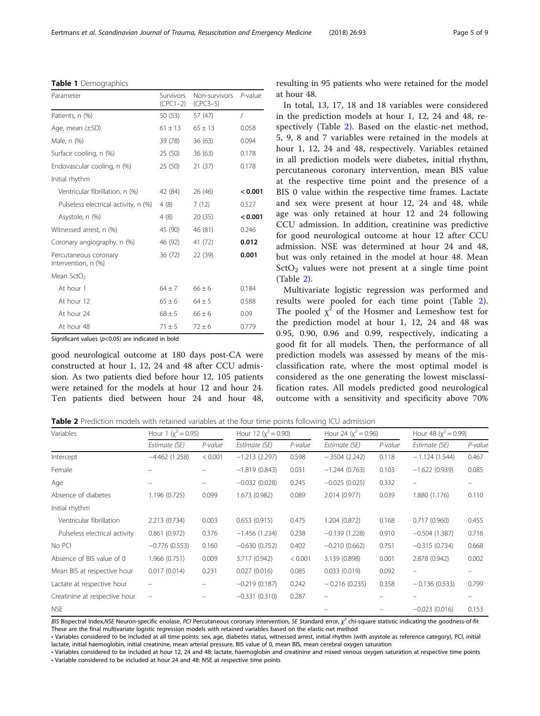| Parameter                                    | Survivors<br>$(CPC1-2)$ | Non-survivors P-value<br>$(CPC3-5)$ |                |
|----------------------------------------------|-------------------------|-------------------------------------|----------------|
| Patients, n (%)                              | 50 (53)                 | 57 (47)                             | $\overline{1}$ |
| Age, mean $(\pm SD)$                         | $61 + 13$               | $65 \pm 13$                         | 0.058          |
| Male, n (%)                                  | 39 (78)                 | 36(63)                              | 0.094          |
| Surface cooling, n (%)                       | 25(50)                  | 36(63)                              | 0.178          |
| Endovascular cooling, n (%)                  | 25(50)                  | 21(37)                              | 0.178          |
| Initial rhythm                               |                         |                                     |                |
| Ventricular fibrillation, n (%)              | 42 (84)                 | 26 (46)                             | < 0.001        |
| Pulseless electrical activity, n (%)         | 4(8)                    | 7(12)                               | 0.527          |
| Asystole, n (%)                              | 4(8)                    | 20(35)                              | < 0.001        |
| Witnessed arrest, n (%)                      | 45 (90)                 | 46 (81)                             | 0.246          |
| Coronary angiography, n (%)                  | 46 (92)                 | 41 (72)                             | 0.012          |
| Percutaneous coronary<br>intervention, n (%) | 36(72)                  | 22 (39)                             | 0.001          |
| Mean $SctO2$                                 |                         |                                     |                |
| At hour 1                                    | $64 \pm 7$              | $66 \pm 6$                          | 0.184          |
| At hour 12                                   | $65 \pm 6$              | $64 \pm 5$                          | 0.588          |
| At hour 24                                   | $68 \pm 5$              | $66 \pm 6$                          | 0.09           |
| At hour 48                                   | $71 \pm 5$              | $72 + 6$                            | 0.779          |

<span id="page-4-0"></span>Table 1 Demographics

Significant values ( $p$ <0.05) are indicated in bold

good neurological outcome at 180 days post-CA were constructed at hour 1, 12, 24 and 48 after CCU admission. As two patients died before hour 12, 105 patients were retained for the models at hour 12 and hour 24. Ten patients died between hour 24 and hour 48,

resulting in 95 patients who were retained for the model at hour 48.

In total, 13, 17, 18 and 18 variables were considered in the prediction models at hour 1, 12, 24 and 48, respectively (Table 2). Based on the elastic-net method, 5, 9, 8 and 7 variables were retained in the models at hour 1, 12, 24 and 48, respectively. Variables retained in all prediction models were diabetes, initial rhythm, percutaneous coronary intervention, mean BIS value at the respective time point and the presence of a BIS 0 value within the respective time frames. Lactate and sex were present at hour 12, 24 and 48, while age was only retained at hour 12 and 24 following CCU admission. In addition, creatinine was predictive for good neurological outcome at hour 12 after CCU admission. NSE was determined at hour 24 and 48, but was only retained in the model at hour 48. Mean  $StO<sub>2</sub>$  values were not present at a single time point (Table 2).

Multivariate logistic regression was performed and results were pooled for each time point (Table 2). The pooled  $\chi^2$  of the Hosmer and Lemeshow test for the prediction model at hour 1, 12, 24 and 48 was 0.95, 0.90, 0.96 and 0.99, respectively, indicating a good fit for all models. Then, the performance of all prediction models was assessed by means of the misclassification rate, where the most optimal model is considered as the one generating the lowest misclassification rates. All models predicted good neurological outcome with a sensitivity and specificity above 70%

**Table 2** Prediction models with retained variables at the four time points following ICU admission

| Variables                     | Hour 1 ( $\chi^2$ = 0.95) |         | Hour 12 ( $\chi^2$ = 0.90) |         | Hour 24 ( $\chi^2$ = 0.96) |         | Hour 48 ( $\chi^2$ = 0.99) |         |
|-------------------------------|---------------------------|---------|----------------------------|---------|----------------------------|---------|----------------------------|---------|
|                               | Estimate (SE)             | P-value | Estimate (SE)              | P-value | Estimate (SE)              | P-value | Estimate (SE)              | P-value |
| Intercept                     | $-4.462(1.258)$           | < 0.001 | $-1.213(2.297)$            | 0.598   | $-3504(2.242)$             | 0.118   | $-1.124(1.544)$            | 0.467   |
| Female                        |                           |         | $-1.819(0.843)$            | 0.031   | $-1.244(0.763)$            | 0.103   | $-1.622(0.939)$            | 0.085   |
| Age                           |                           |         | $-0.032(0.028)$            | 0.245   | $-0.025(0.025)$            | 0.332   |                            |         |
| Absence of diabetes           | 1.196 (0.725)             | 0.099   | 1.673 (0.982)              | 0.089   | 2.014 (0.977)              | 0.039   | 1.880 (1.176)              | 0.110   |
| Initial rhythm                |                           |         |                            |         |                            |         |                            |         |
| Ventricular fibrillation      | 2.213 (0.734)             | 0.003   | 0.653(0.915)               | 0.475   | 1.204(0.872)               | 0.168   | 0.717(0.960)               | 0.455   |
| Pulseless electrical activity | 0.861(0.972)              | 0.376   | $-1.456(1.234)$            | 0.238   | $-0.139(1.228)$            | 0.910   | $-0.504(1.387)$            | 0.716   |
| No PCI                        | $-0.776(0.553)$           | 0.160   | $-0.630(0.752)$            | 0.402   | $-0.210(0.662)$            | 0.751   | $-0.315(0.734)$            | 0.668   |
| Absence of BIS value of 0     | 1.966 (0.751)             | 0.009   | 3.717 (0.942)              | < 0.001 | 3.139 (0.898)              | 0.001   | 2.878 (0.942)              | 0.002   |
| Mean BIS at respective hour   | 0.017(0.014)              | 0.231   | 0.027(0.016)               | 0.085   | 0.033(0.019)               | 0.092   |                            |         |
| Lactate at respective hour    |                           |         | $-0.219(0.187)$            | 0.242   | $-0.216(0.235)$            | 0.358   | $-0.136(0.533)$            | 0.799   |
| Creatinine at respective hour |                           |         | $-0.331(0.310)$            | 0.287   |                            |         |                            |         |
| <b>NSE</b>                    |                           |         |                            |         |                            |         | $-0.023(0.016)$            | 0.153   |

BIS Bispectral Index,NSE Neuron-specific enolase, PCI Percutaneous coronary intervention, SE Standard error,  $\chi^2$  chi-square statistic indicating the goodness-of-fit These are the final multivariate logistic regression models with retained variables based on the elastic-net method

• Variables considered to be included at all time points: sex, age, diabetes status, witnessed arrest, initial rhythm (with asystole as reference category), PCI, initial lactate, initial haemoglobin, initial creatinine, mean arterial pressure, BIS value of 0, mean BIS, mean cerebral oxygen saturation

• Variables considered to be included at hour 12, 24 and 48: lactate, haemoglobin and creatinine and mixed venous oxygen saturation at respective time points • Variable considered to be included at hour 24 and 48: NSE at respective time points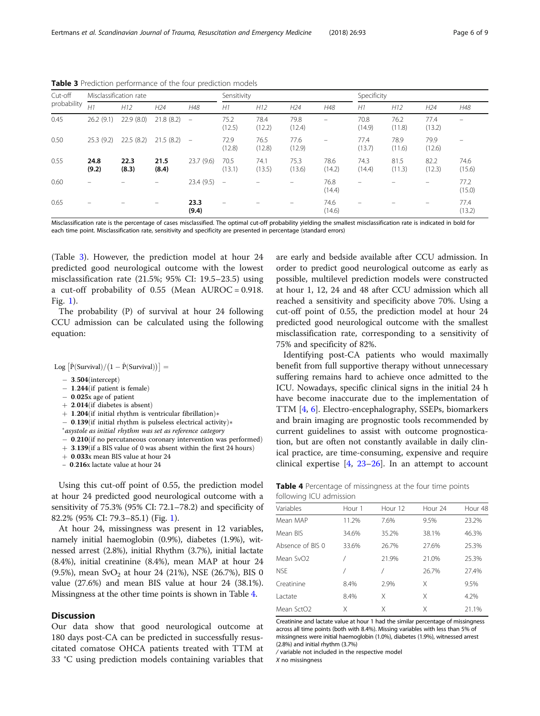| Cut-off<br>probability | Misclassification rate |               |                 | Sensitivity              |                              |                |                          | Specificity    |                |                |                          |                |
|------------------------|------------------------|---------------|-----------------|--------------------------|------------------------------|----------------|--------------------------|----------------|----------------|----------------|--------------------------|----------------|
|                        | H1                     | H12           | H <sub>24</sub> | H48                      | H1                           | H12            | H <sub>24</sub>          | H48            | H1             | H12            | H <sub>24</sub>          | H48            |
| 0.45                   | 26.2(9.1)              | 22.9(8.0)     | 21.8(8.2)       | $\overline{\phantom{a}}$ | 75.2<br>(12.5)               | 78.4<br>(12.2) | 79.8<br>(12.4)           | -              | 70.8<br>(14.9) | 76.2<br>(11.8) | 77.4<br>(13.2)           |                |
| 0.50                   | 25.3(9.2)              | 22.5(8.2)     | 21.5(8.2)       | $\hspace{0.1mm}$         | 72.9<br>(12.8)               | 76.5<br>(12.8) | 77.6<br>(12.9)           | -              | 77.4<br>(13.7) | 78.9<br>(11.6) | 79.9<br>(12.6)           |                |
| 0.55                   | 24.8<br>(9.2)          | 22.3<br>(8.3) | 21.5<br>(8.4)   | 23.7(9.6)                | 70.5<br>(13.1)               | 74.1<br>(13.5) | 75.3<br>(13.6)           | 78.6<br>(14.2) | 74.3<br>(14.4) | 81.5<br>(11.3) | 82.2<br>(12.3)           | 74.6<br>(15.6) |
| 0.60                   | -                      |               | -               | 23.4(9.5)                | $\qquad \qquad \blacksquare$ |                |                          | 76.8<br>(14.4) |                |                | $\overline{\phantom{0}}$ | 77.2<br>(15.0) |
| 0.65                   |                        |               | -               | 23.3<br>(9.4)            | -                            |                | $\overline{\phantom{0}}$ | 74.6<br>(14.6) | -              |                | $\overline{\phantom{0}}$ | 77.4<br>(13.2) |

Table 3 Prediction performance of the four prediction models

Misclassification rate is the percentage of cases misclassified. The optimal cut-off probability yielding the smallest misclassification rate is indicated in bold for each time point. Misclassification rate, sensitivity and specificity are presented in percentage (standard errors)

(Table 3). However, the prediction model at hour 24 predicted good neurological outcome with the lowest misclassification rate (21.5%; 95% CI: 19.5–23.5) using a cut-off probability of 0.55 (Mean AUROC = 0.918. Fig. [1\)](#page-3-0).

The probability (P) of survival at hour 24 following CCU admission can be calculated using the following equation:

 $\text{Log}\left[\hat{P}(\text{Survival}) / \big(1 - \hat{P}(\text{Survival})\big)\right] =$ 

- $-$  3.504(intercept)
- $1.244$  (if patient is female)
- 0:025x age of patient
- $+ 2.014$ (if diabetes is absent)
- + 1.204(if initial rhythm is ventricular fibrillation) $*$
- **0.139** (if initial rhythm is pulseless electrical activity)\*<br>\*asystole as initial rhythm was set as reference category
- 
- 0.210(if no percutaneous coronary intervention was performed)
- $+3.139$  (if a BIS value of 0 was absent within the first 24 hours)
- $+$  0.033x mean BIS value at hour 24
- − 0:216x lactate value at hour 24

Using this cut-off point of 0.55, the prediction model at hour 24 predicted good neurological outcome with a sensitivity of 75.3% (95% CI: 72.1–78.2) and specificity of 82.2% (95% CI: 79.3–85.1) (Fig. [1](#page-3-0)).

At hour 24, missingness was present in 12 variables, namely initial haemoglobin (0.9%), diabetes (1.9%), witnessed arrest (2.8%), initial Rhythm (3.7%), initial lactate (8.4%), initial creatinine (8.4%), mean MAP at hour 24  $(9.5\%)$ , mean SvO<sub>2</sub> at hour 24 (21%), NSE (26.7%), BIS 0 value (27.6%) and mean BIS value at hour 24 (38.1%). Missingness at the other time points is shown in Table 4.

# **Discussion**

Our data show that good neurological outcome at 180 days post-CA can be predicted in successfully resuscitated comatose OHCA patients treated with TTM at 33 °C using prediction models containing variables that are early and bedside available after CCU admission. In order to predict good neurological outcome as early as possible, multilevel prediction models were constructed at hour 1, 12, 24 and 48 after CCU admission which all reached a sensitivity and specificity above 70%. Using a cut-off point of 0.55, the prediction model at hour 24 predicted good neurological outcome with the smallest misclassification rate, corresponding to a sensitivity of 75% and specificity of 82%.

Identifying post-CA patients who would maximally benefit from full supportive therapy without unnecessary suffering remains hard to achieve once admitted to the ICU. Nowadays, specific clinical signs in the initial 24 h have become inaccurate due to the implementation of TTM [[4,](#page-7-0) [6\]](#page-7-0). Electro-encephalography, SSEPs, biomarkers and brain imaging are prognostic tools recommended by current guidelines to assist with outcome prognostication, but are often not constantly available in daily clinical practice, are time-consuming, expensive and require clinical expertise [\[4](#page-7-0), [23](#page-8-0)–[26\]](#page-8-0). In an attempt to account

| Table 4 Percentage of missingness at the four time points |  |  |  |  |
|-----------------------------------------------------------|--|--|--|--|
| following ICU admission                                   |  |  |  |  |

| $-1$                  |        |         |                    |         |
|-----------------------|--------|---------|--------------------|---------|
| Variables             | Hour 1 | Hour 12 | Hour <sub>24</sub> | Hour 48 |
| Mean MAP              | 11.2%  | 7.6%    | 9.5%               | 23.2%   |
| Mean BIS              | 34.6%  | 35.2%   | 38.1%              | 46.3%   |
| Absence of BIS 0      | 33.6%  | 26.7%   | 27.6%              | 25.3%   |
| Mean SvO <sub>2</sub> |        | 21.9%   | 21.0%              | 25.3%   |
| <b>NSF</b>            |        |         | 26.7%              | 27.4%   |
| Creatinine            | 8.4%   | 2.9%    | X                  | 9.5%    |
| l actate              | 8.4%   | Χ       | X                  | 4.2%    |
| Mean SctO2            | X      | Χ       | X                  | 21.1%   |

Creatinine and lactate value at hour 1 had the similar percentage of missingness across all time points (both with 8.4%). Missing variables with less than 5% of missingness were initial haemoglobin (1.0%), diabetes (1.9%), witnessed arrest (2.8%) and initial rhythm (3.7%)

/ variable not included in the respective model

X no missingness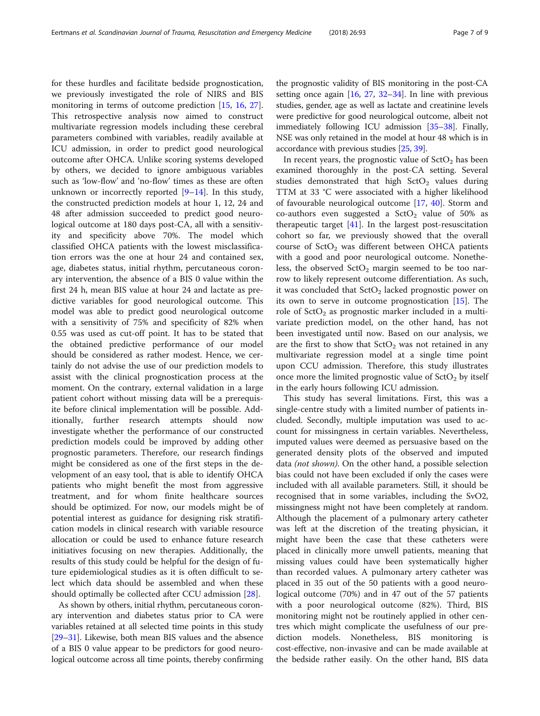for these hurdles and facilitate bedside prognostication, we previously investigated the role of NIRS and BIS monitoring in terms of outcome prediction [\[15,](#page-8-0) [16,](#page-8-0) [27](#page-8-0)]. This retrospective analysis now aimed to construct multivariate regression models including these cerebral parameters combined with variables, readily available at ICU admission, in order to predict good neurological outcome after OHCA. Unlike scoring systems developed by others, we decided to ignore ambiguous variables such as 'low-flow' and 'no-flow' times as these are often unknown or incorrectly reported  $[9-14]$  $[9-14]$  $[9-14]$  $[9-14]$  $[9-14]$ . In this study, the constructed prediction models at hour 1, 12, 24 and 48 after admission succeeded to predict good neurological outcome at 180 days post-CA, all with a sensitivity and specificity above 70%. The model which classified OHCA patients with the lowest misclassification errors was the one at hour 24 and contained sex, age, diabetes status, initial rhythm, percutaneous coronary intervention, the absence of a BIS 0 value within the first 24 h, mean BIS value at hour 24 and lactate as predictive variables for good neurological outcome. This model was able to predict good neurological outcome with a sensitivity of 75% and specificity of 82% when 0.55 was used as cut-off point. It has to be stated that the obtained predictive performance of our model should be considered as rather modest. Hence, we certainly do not advise the use of our prediction models to assist with the clinical prognostication process at the moment. On the contrary, external validation in a large patient cohort without missing data will be a prerequisite before clinical implementation will be possible. Additionally, further research attempts should now investigate whether the performance of our constructed prediction models could be improved by adding other prognostic parameters. Therefore, our research findings might be considered as one of the first steps in the development of an easy tool, that is able to identify OHCA patients who might benefit the most from aggressive treatment, and for whom finite healthcare sources should be optimized. For now, our models might be of potential interest as guidance for designing risk stratification models in clinical research with variable resource allocation or could be used to enhance future research initiatives focusing on new therapies. Additionally, the results of this study could be helpful for the design of future epidemiological studies as it is often difficult to select which data should be assembled and when these should optimally be collected after CCU admission [[28\]](#page-8-0).

As shown by others, initial rhythm, percutaneous coronary intervention and diabetes status prior to CA were variables retained at all selected time points in this study [[29](#page-8-0)–[31\]](#page-8-0). Likewise, both mean BIS values and the absence of a BIS 0 value appear to be predictors for good neurological outcome across all time points, thereby confirming

the prognostic validity of BIS monitoring in the post-CA setting once again  $[16, 27, 32-34]$  $[16, 27, 32-34]$  $[16, 27, 32-34]$  $[16, 27, 32-34]$  $[16, 27, 32-34]$  $[16, 27, 32-34]$  $[16, 27, 32-34]$ . In line with previous studies, gender, age as well as lactate and creatinine levels were predictive for good neurological outcome, albeit not immediately following ICU admission [\[35](#page-8-0)–[38](#page-8-0)]. Finally, NSE was only retained in the model at hour 48 which is in accordance with previous studies [\[25](#page-8-0), [39](#page-8-0)].

In recent years, the prognostic value of  $SctO<sub>2</sub>$  has been examined thoroughly in the post-CA setting. Several studies demonstrated that high  $SctO<sub>2</sub>$  values during TTM at 33 °C were associated with a higher likelihood of favourable neurological outcome [[17](#page-8-0), [40](#page-8-0)]. Storm and co-authors even suggested a  $\text{SctO}_2$  value of 50% as therapeutic target  $[41]$  $[41]$ . In the largest post-resuscitation cohort so far, we previously showed that the overall course of  $StO<sub>2</sub>$  was different between OHCA patients with a good and poor neurological outcome. Nonetheless, the observed  $SctO<sub>2</sub>$  margin seemed to be too narrow to likely represent outcome differentiation. As such, it was concluded that  $SctO<sub>2</sub>$  lacked prognostic power on its own to serve in outcome prognostication [[15\]](#page-8-0). The role of  $\text{SctO}_2$  as prognostic marker included in a multivariate prediction model, on the other hand, has not been investigated until now. Based on our analysis, we are the first to show that  $StO<sub>2</sub>$  was not retained in any multivariate regression model at a single time point upon CCU admission. Therefore, this study illustrates once more the limited prognostic value of  $SctO<sub>2</sub>$  by itself in the early hours following ICU admission.

This study has several limitations. First, this was a single-centre study with a limited number of patients included. Secondly, multiple imputation was used to account for missingness in certain variables. Nevertheless, imputed values were deemed as persuasive based on the generated density plots of the observed and imputed data (not shown). On the other hand, a possible selection bias could not have been excluded if only the cases were included with all available parameters. Still, it should be recognised that in some variables, including the SvO2, missingness might not have been completely at random. Although the placement of a pulmonary artery catheter was left at the discretion of the treating physician, it might have been the case that these catheters were placed in clinically more unwell patients, meaning that missing values could have been systematically higher than recorded values. A pulmonary artery catheter was placed in 35 out of the 50 patients with a good neurological outcome (70%) and in 47 out of the 57 patients with a poor neurological outcome (82%). Third, BIS monitoring might not be routinely applied in other centres which might complicate the usefulness of our prediction models. Nonetheless, BIS monitoring is cost-effective, non-invasive and can be made available at the bedside rather easily. On the other hand, BIS data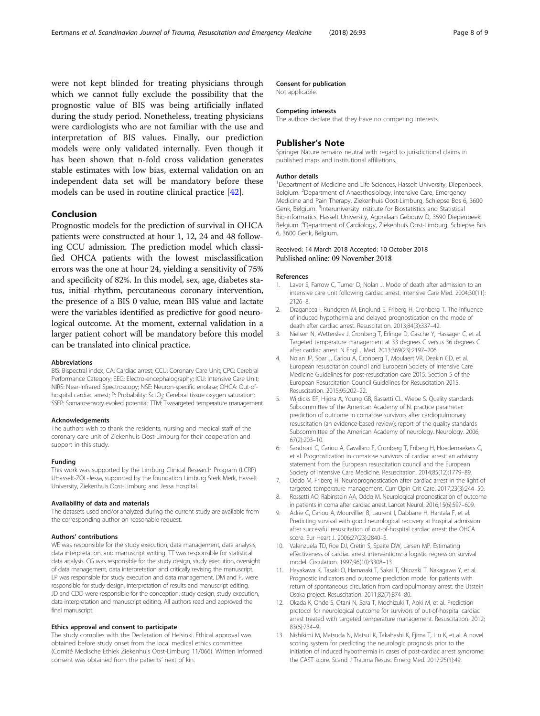<span id="page-7-0"></span>were not kept blinded for treating physicians through which we cannot fully exclude the possibility that the prognostic value of BIS was being artificially inflated during the study period. Nonetheless, treating physicians were cardiologists who are not familiar with the use and interpretation of BIS values. Finally, our prediction models were only validated internally. Even though it has been shown that n-fold cross validation generates stable estimates with low bias, external validation on an independent data set will be mandatory before these models can be used in routine clinical practice [[42\]](#page-8-0).

# Conclusion

Prognostic models for the prediction of survival in OHCA patients were constructed at hour 1, 12, 24 and 48 following CCU admission. The prediction model which classified OHCA patients with the lowest misclassification errors was the one at hour 24, yielding a sensitivity of 75% and specificity of 82%. In this model, sex, age, diabetes status, initial rhythm, percutaneous coronary intervention, the presence of a BIS 0 value, mean BIS value and lactate were the variables identified as predictive for good neurological outcome. At the moment, external validation in a larger patient cohort will be mandatory before this model can be translated into clinical practice.

#### Abbreviations

BIS: Bispectral index; CA: Cardiac arrest; CCU: Coronary Care Unit; CPC: Cerebral Performance Category; EEG: Electro-encephalography; ICU: Intensive Care Unit; NIRS: Near-Infrared Spectroscopy; NSE: Neuron-specific enolase; OHCA: Out-ofhospital cardiac arrest; P: Probability; SctO<sub>2</sub>: Cerebral tissue oxygen saturation; SSEP: Somatosensory evoked potential; TTM: Tssssargeted temperature management

#### Acknowledgements

The authors wish to thank the residents, nursing and medical staff of the coronary care unit of Ziekenhuis Oost-Limburg for their cooperation and support in this study.

#### Funding

This work was supported by the Limburg Clinical Research Program (LCRP) UHasselt-ZOL-Jessa, supported by the foundation Limburg Sterk Merk, Hasselt University, Ziekenhuis Oost-Limburg and Jessa Hospital.

#### Availability of data and materials

The datasets used and/or analyzed during the current study are available from the corresponding author on reasonable request.

# Authors' contributions

WE was responsible for the study execution, data management, data analysis, data interpretation, and manuscript writing. TT was responsible for statistical data analysis. CG was responsible for the study design, study execution, oversight of data management, data interpretation and critically revising the manuscript. LP was responsible for study execution and data management. DM and FJ were responsible for study design, interpretation of results and manuscript editing. JD and CDD were responsible for the conception, study design, study execution, data interpretation and manuscript editing. All authors read and approved the final manuscript.

#### Ethics approval and consent to participate

The study complies with the Declaration of Helsinki. Ethical approval was obtained before study onset from the local medical ethics committee (Comité Medische Ethiek Ziekenhuis Oost-Limburg 11/066). Written informed consent was obtained from the patients' next of kin.

# Consent for publication

Not applicable.

#### Competing interests

The authors declare that they have no competing interests.

# Publisher's Note

Springer Nature remains neutral with regard to jurisdictional claims in published maps and institutional affiliations.

#### Author details

<sup>1</sup>Department of Medicine and Life Sciences, Hasselt University, Diepenbeek Belgium. <sup>2</sup>Department of Anaesthesiology, Intensive Care, Emergency Medicine and Pain Therapy, Ziekenhuis Oost-Limburg, Schiepse Bos 6, 3600 Genk, Belgium. <sup>3</sup>Interuniversity Institute for Biostatistics and Statistical Bio-informatics, Hasselt University, Agoralaan Gebouw D, 3590 Diepenbeek, Belgium. <sup>4</sup> Department of Cardiology, Ziekenhuis Oost-Limburg, Schiepse Bos 6, 3600 Genk, Belgium.

# Received: 14 March 2018 Accepted: 10 October 2018 Published online: 09 November 2018

#### References

- 1. Laver S, Farrow C, Turner D, Nolan J. Mode of death after admission to an intensive care unit following cardiac arrest. Intensive Care Med. 2004;30(11): 2126–8.
- 2. Dragancea I, Rundgren M, Englund E, Friberg H, Cronberg T. The influence of induced hypothermia and delayed prognostication on the mode of death after cardiac arrest. Resuscitation. 2013;84(3):337–42.
- 3. Nielsen N, Wetterslev J, Cronberg T, Erlinge D, Gasche Y, Hassager C, et al. Targeted temperature management at 33 degrees C versus 36 degrees C after cardiac arrest. N Engl J Med. 2013;369(23):2197–206.
- 4. Nolan JP, Soar J, Cariou A, Cronberg T, Moulaert VR, Deakin CD, et al. European resuscitation council and European Society of Intensive Care Medicine Guidelines for post-resuscitation care 2015: Section 5 of the European Resuscitation Council Guidelines for Resuscitation 2015. Resuscitation. 2015;95:202–22.
- 5. Wijdicks EF, Hijdra A, Young GB, Bassetti CL, Wiebe S. Quality standards Subcommittee of the American Academy of N. practice parameter: prediction of outcome in comatose survivors after cardiopulmonary resuscitation (an evidence-based review): report of the quality standards Subcommittee of the American Academy of neurology. Neurology. 2006; 67(2):203–10.
- 6. Sandroni C, Cariou A, Cavallaro F, Cronberg T, Friberg H, Hoedemaekers C, et al. Prognostication in comatose survivors of cardiac arrest: an advisory statement from the European resuscitation council and the European Society of Intensive Care Medicine. Resuscitation. 2014;85(12):1779–89.
- 7. Oddo M, Friberg H. Neuroprognostication after cardiac arrest in the light of targeted temperature management. Curr Opin Crit Care. 2017;23(3):244–50.
- 8. Rossetti AO, Rabinstein AA, Oddo M. Neurological prognostication of outcome in patients in coma after cardiac arrest. Lancet Neurol. 2016;15(6):597–609.
- 9. Adrie C, Cariou A, Mourvillier B, Laurent I, Dabbane H, Hantala F, et al. Predicting survival with good neurological recovery at hospital admission after successful resuscitation of out-of-hospital cardiac arrest: the OHCA score. Eur Heart J. 2006;27(23):2840–5.
- 10. Valenzuela TD, Roe DJ, Cretin S, Spaite DW, Larsen MP. Estimating effectiveness of cardiac arrest interventions: a logistic regression survival model. Circulation. 1997;96(10):3308–13.
- 11. Hayakawa K, Tasaki O, Hamasaki T, Sakai T, Shiozaki T, Nakagawa Y, et al. Prognostic indicators and outcome prediction model for patients with return of spontaneous circulation from cardiopulmonary arrest: the Utstein Osaka project. Resuscitation. 2011;82(7):874–80.
- 12. Okada K, Ohde S, Otani N, Sera T, Mochizuki T, Aoki M, et al. Prediction protocol for neurological outcome for survivors of out-of-hospital cardiac arrest treated with targeted temperature management. Resuscitation. 2012; 83(6):734–9.
- 13. Nishikimi M, Matsuda N, Matsui K, Takahashi K, Ejima T, Liu K, et al. A novel scoring system for predicting the neurologic prognosis prior to the initiation of induced hypothermia in cases of post-cardiac arrest syndrome: the CAST score. Scand J Trauma Resusc Emerg Med. 2017;25(1):49.